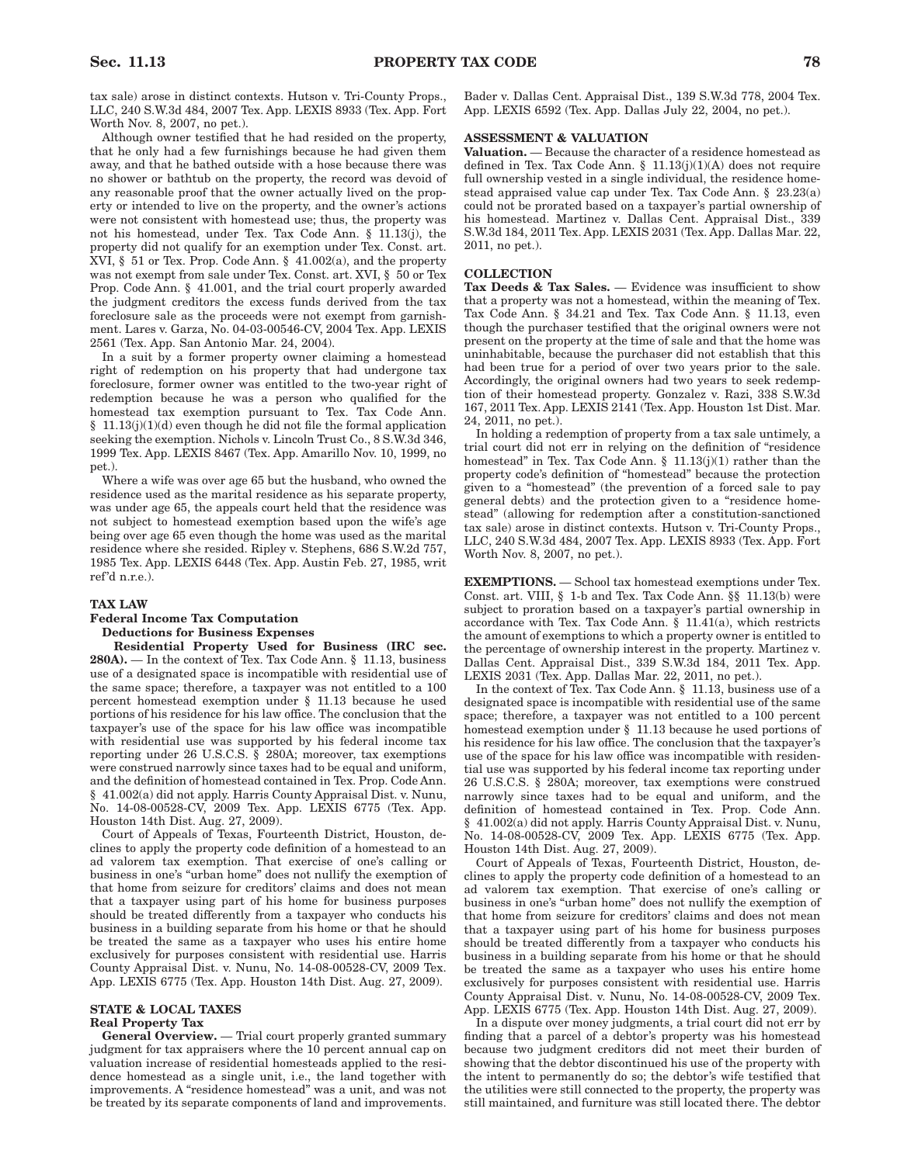tax sale) arose in distinct contexts. Hutson v. Tri-County Props., LLC, 240 S.W.3d 484, 2007 Tex. App. LEXIS 8933 (Tex. App. Fort Worth Nov. 8, 2007, no pet.).

Although owner testified that he had resided on the property, that he only had a few furnishings because he had given them away, and that he bathed outside with a hose because there was no shower or bathtub on the property, the record was devoid of any reasonable proof that the owner actually lived on the property or intended to live on the property, and the owner's actions were not consistent with homestead use; thus, the property was not his homestead, under Tex. Tax Code Ann. § 11.13(j), the property did not qualify for an exemption under Tex. Const. art. XVI, § 51 or Tex. Prop. Code Ann. § 41.002(a), and the property was not exempt from sale under Tex. Const. art. XVI, § 50 or Tex Prop. Code Ann. § 41.001, and the trial court properly awarded the judgment creditors the excess funds derived from the tax foreclosure sale as the proceeds were not exempt from garnishment. Lares v. Garza, No. 04-03-00546-CV, 2004 Tex. App. LEXIS 2561 (Tex. App. San Antonio Mar. 24, 2004).

In a suit by a former property owner claiming a homestead right of redemption on his property that had undergone tax foreclosure, former owner was entitled to the two-year right of redemption because he was a person who qualified for the homestead tax exemption pursuant to Tex. Tax Code Ann.  $§$  11.13(j)(1)(d) even though he did not file the formal application seeking the exemption. Nichols v. Lincoln Trust Co., 8 S.W.3d 346, 1999 Tex. App. LEXIS 8467 (Tex. App. Amarillo Nov. 10, 1999, no pet.).

Where a wife was over age 65 but the husband, who owned the residence used as the marital residence as his separate property, was under age 65, the appeals court held that the residence was not subject to homestead exemption based upon the wife's age being over age 65 even though the home was used as the marital residence where she resided. Ripley v. Stephens, 686 S.W.2d 757, 1985 Tex. App. LEXIS 6448 (Tex. App. Austin Feb. 27, 1985, writ ref'd n.r.e.).

## **TAX LAW**

## **Federal Income Tax Computation Deductions for Business Expenses**

**Residential Property Used for Business (IRC sec. 280A).** — In the context of Tex. Tax Code Ann. § 11.13, business use of a designated space is incompatible with residential use of the same space; therefore, a taxpayer was not entitled to a 100 percent homestead exemption under § 11.13 because he used portions of his residence for his law office. The conclusion that the taxpayer's use of the space for his law office was incompatible with residential use was supported by his federal income tax reporting under 26 U.S.C.S. § 280A; moreover, tax exemptions were construed narrowly since taxes had to be equal and uniform, and the definition of homestead contained in Tex. Prop. Code Ann. § 41.002(a) did not apply. Harris County Appraisal Dist. v. Nunu, No. 14-08-00528-CV, 2009 Tex. App. LEXIS 6775 (Tex. App. Houston 14th Dist. Aug. 27, 2009).

Court of Appeals of Texas, Fourteenth District, Houston, declines to apply the property code definition of a homestead to an ad valorem tax exemption. That exercise of one's calling or business in one's "urban home" does not nullify the exemption of that home from seizure for creditors' claims and does not mean that a taxpayer using part of his home for business purposes should be treated differently from a taxpayer who conducts his business in a building separate from his home or that he should be treated the same as a taxpayer who uses his entire home exclusively for purposes consistent with residential use. Harris County Appraisal Dist. v. Nunu, No. 14-08-00528-CV, 2009 Tex. App. LEXIS 6775 (Tex. App. Houston 14th Dist. Aug. 27, 2009).

## **STATE & LOCAL TAXES Real Property Tax**

**General Overview.** — Trial court properly granted summary judgment for tax appraisers where the 10 percent annual cap on valuation increase of residential homesteads applied to the residence homestead as a single unit, i.e., the land together with improvements. A "residence homestead" was a unit, and was not be treated by its separate components of land and improvements.

Bader v. Dallas Cent. Appraisal Dist., 139 S.W.3d 778, 2004 Tex. App. LEXIS 6592 (Tex. App. Dallas July 22, 2004, no pet.).

# **ASSESSMENT & VALUATION**

**Valuation.** — Because the character of a residence homestead as defined in Tex. Tax Code Ann. § 11.13(j)(1)(A) does not require full ownership vested in a single individual, the residence homestead appraised value cap under Tex. Tax Code Ann. § 23.23(a) could not be prorated based on a taxpayer's partial ownership of his homestead. Martinez v. Dallas Cent. Appraisal Dist., 339 S.W.3d 184, 2011 Tex. App. LEXIS 2031 (Tex. App. Dallas Mar. 22, 2011, no pet.).

# **COLLECTION**

**Tax Deeds & Tax Sales.** — Evidence was insufficient to show that a property was not a homestead, within the meaning of Tex. Tax Code Ann. § 34.21 and Tex. Tax Code Ann. § 11.13, even though the purchaser testified that the original owners were not present on the property at the time of sale and that the home was uninhabitable, because the purchaser did not establish that this had been true for a period of over two years prior to the sale. Accordingly, the original owners had two years to seek redemption of their homestead property. Gonzalez v. Razi, 338 S.W.3d 167, 2011 Tex. App. LEXIS 2141 (Tex. App. Houston 1st Dist. Mar. 24, 2011, no pet.).

In holding a redemption of property from a tax sale untimely, a trial court did not err in relying on the definition of "residence homestead" in Tex. Tax Code Ann. § 11.13(j)(1) rather than the property code's definition of "homestead" because the protection given to a "homestead" (the prevention of a forced sale to pay general debts) and the protection given to a "residence homestead" (allowing for redemption after a constitution-sanctioned tax sale) arose in distinct contexts. Hutson v. Tri-County Props., LLC, 240 S.W.3d 484, 2007 Tex. App. LEXIS 8933 (Tex. App. Fort Worth Nov. 8, 2007, no pet.).

**EXEMPTIONS.** — School tax homestead exemptions under Tex. Const. art. VIII, § 1-b and Tex. Tax Code Ann. §§ 11.13(b) were subject to proration based on a taxpayer's partial ownership in accordance with Tex. Tax Code Ann. § 11.41(a), which restricts the amount of exemptions to which a property owner is entitled to the percentage of ownership interest in the property. Martinez v. Dallas Cent. Appraisal Dist., 339 S.W.3d 184, 2011 Tex. App. LEXIS 2031 (Tex. App. Dallas Mar. 22, 2011, no pet.).

In the context of Tex. Tax Code Ann. § 11.13, business use of a designated space is incompatible with residential use of the same space; therefore, a taxpayer was not entitled to a 100 percent homestead exemption under § 11.13 because he used portions of his residence for his law office. The conclusion that the taxpayer's use of the space for his law office was incompatible with residential use was supported by his federal income tax reporting under 26 U.S.C.S. § 280A; moreover, tax exemptions were construed narrowly since taxes had to be equal and uniform, and the definition of homestead contained in Tex. Prop. Code Ann. § 41.002(a) did not apply. Harris County Appraisal Dist. v. Nunu, No. 14-08-00528-CV, 2009 Tex. App. LEXIS 6775 (Tex. App. Houston 14th Dist. Aug. 27, 2009).

Court of Appeals of Texas, Fourteenth District, Houston, declines to apply the property code definition of a homestead to an ad valorem tax exemption. That exercise of one's calling or business in one's "urban home" does not nullify the exemption of that home from seizure for creditors' claims and does not mean that a taxpayer using part of his home for business purposes should be treated differently from a taxpayer who conducts his business in a building separate from his home or that he should be treated the same as a taxpayer who uses his entire home exclusively for purposes consistent with residential use. Harris County Appraisal Dist. v. Nunu, No. 14-08-00528-CV, 2009 Tex. App. LEXIS 6775 (Tex. App. Houston 14th Dist. Aug. 27, 2009).

In a dispute over money judgments, a trial court did not err by finding that a parcel of a debtor's property was his homestead because two judgment creditors did not meet their burden of showing that the debtor discontinued his use of the property with the intent to permanently do so; the debtor's wife testified that the utilities were still connected to the property, the property was still maintained, and furniture was still located there. The debtor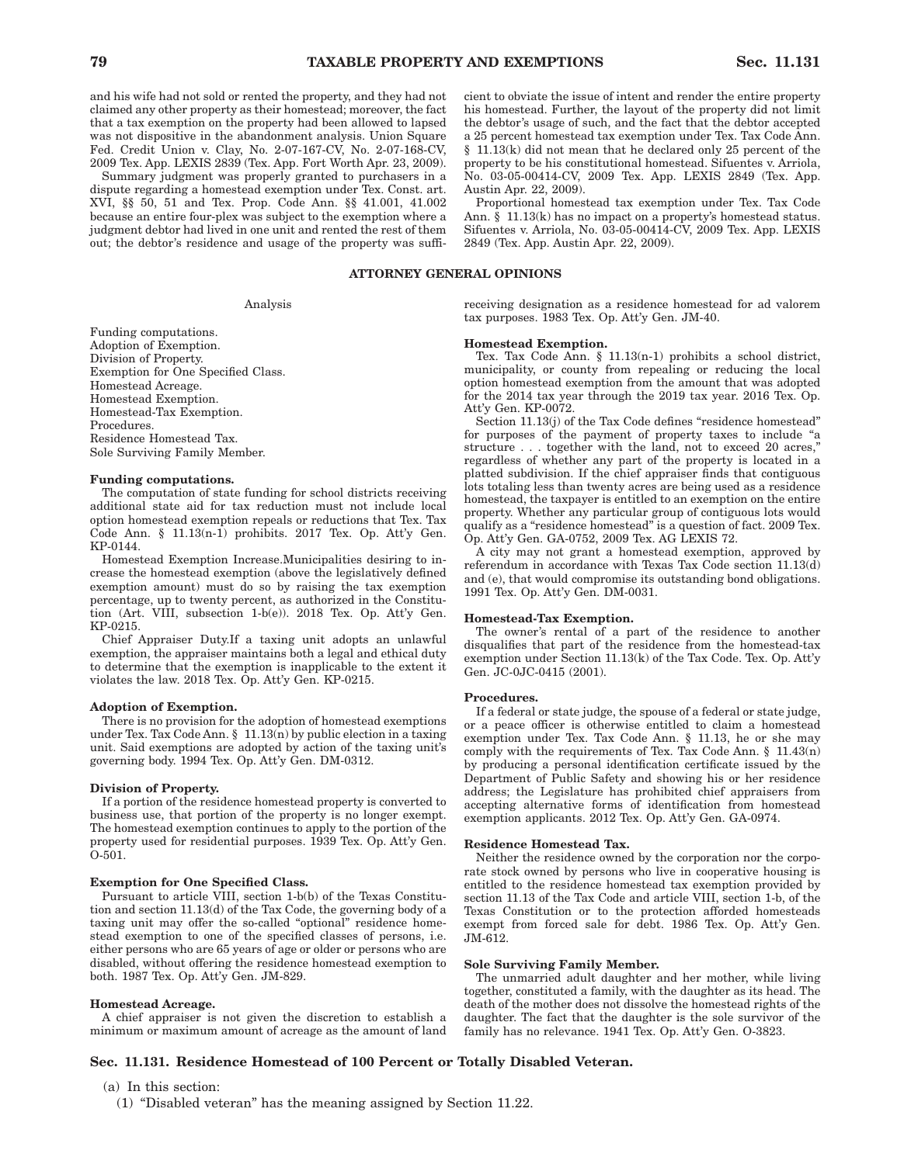and his wife had not sold or rented the property, and they had not claimed any other property as their homestead; moreover, the fact that a tax exemption on the property had been allowed to lapsed was not dispositive in the abandonment analysis. Union Square Fed. Credit Union v. Clay, No. 2-07-167-CV, No. 2-07-168-CV, 2009 Tex. App. LEXIS 2839 (Tex. App. Fort Worth Apr. 23, 2009).

Summary judgment was properly granted to purchasers in a dispute regarding a homestead exemption under Tex. Const. art. XVI, §§ 50, 51 and Tex. Prop. Code Ann. §§ 41.001, 41.002 because an entire four-plex was subject to the exemption where a judgment debtor had lived in one unit and rented the rest of them out; the debtor's residence and usage of the property was suffi-

# **ATTORNEY GENERAL OPINIONS**

Analysis

Funding computations. Adoption of Exemption. Division of Property. Exemption for One Specified Class. Homestead Acreage. Homestead Exemption. Homestead-Tax Exemption. Procedures. Residence Homestead Tax. Sole Surviving Family Member.

### **Funding computations.**

The computation of state funding for school districts receiving additional state aid for tax reduction must not include local option homestead exemption repeals or reductions that Tex. Tax Code Ann. § 11.13(n-1) prohibits. 2017 Tex. Op. Att'y Gen. KP-0144.

Homestead Exemption Increase.Municipalities desiring to increase the homestead exemption (above the legislatively defined exemption amount) must do so by raising the tax exemption percentage, up to twenty percent, as authorized in the Constitution (Art. VIII, subsection 1-b(e)). 2018 Tex. Op. Att'y Gen. KP-0215.

Chief Appraiser Duty.If a taxing unit adopts an unlawful exemption, the appraiser maintains both a legal and ethical duty to determine that the exemption is inapplicable to the extent it violates the law. 2018 Tex. Op. Att'y Gen. KP-0215.

## **Adoption of Exemption.**

There is no provision for the adoption of homestead exemptions under Tex. Tax Code Ann.  $\S$  11.13(n) by public election in a taxing unit. Said exemptions are adopted by action of the taxing unit's governing body. 1994 Tex. Op. Att'y Gen. DM-0312.

### **Division of Property.**

If a portion of the residence homestead property is converted to business use, that portion of the property is no longer exempt. The homestead exemption continues to apply to the portion of the property used for residential purposes. 1939 Tex. Op. Att'y Gen. O-501.

### **Exemption for One Specified Class.**

Pursuant to article VIII, section 1-b(b) of the Texas Constitution and section 11.13(d) of the Tax Code, the governing body of a taxing unit may offer the so-called "optional" residence homestead exemption to one of the specified classes of persons, i.e. either persons who are 65 years of age or older or persons who are disabled, without offering the residence homestead exemption to both. 1987 Tex. Op. Att'y Gen. JM-829.

### **Homestead Acreage.**

A chief appraiser is not given the discretion to establish a minimum or maximum amount of acreage as the amount of land

cient to obviate the issue of intent and render the entire property his homestead. Further, the layout of the property did not limit the debtor's usage of such, and the fact that the debtor accepted a 25 percent homestead tax exemption under Tex. Tax Code Ann. § 11.13(k) did not mean that he declared only 25 percent of the property to be his constitutional homestead. Sifuentes v. Arriola, No. 03-05-00414-CV, 2009 Tex. App. LEXIS 2849 (Tex. App. Austin Apr. 22, 2009).

Proportional homestead tax exemption under Tex. Tax Code Ann. § 11.13(k) has no impact on a property's homestead status. Sifuentes v. Arriola, No. 03-05-00414-CV, 2009 Tex. App. LEXIS 2849 (Tex. App. Austin Apr. 22, 2009).

receiving designation as a residence homestead for ad valorem tax purposes. 1983 Tex. Op. Att'y Gen. JM-40.

### **Homestead Exemption.**

Tex. Tax Code Ann. § 11.13(n-1) prohibits a school district, municipality, or county from repealing or reducing the local option homestead exemption from the amount that was adopted for the 2014 tax year through the 2019 tax year. 2016 Tex. Op. Att'y Gen. KP-0072.

Section 11.13(j) of the Tax Code defines "residence homestead" for purposes of the payment of property taxes to include "a structure... together with the land, not to exceed 20 acres," regardless of whether any part of the property is located in a platted subdivision. If the chief appraiser finds that contiguous lots totaling less than twenty acres are being used as a residence homestead, the taxpayer is entitled to an exemption on the entire property. Whether any particular group of contiguous lots would qualify as a "residence homestead" is a question of fact. 2009 Tex. Op. Att'y Gen. GA-0752, 2009 Tex. AG LEXIS 72.

A city may not grant a homestead exemption, approved by referendum in accordance with Texas Tax Code section 11.13(d) and (e), that would compromise its outstanding bond obligations. 1991 Tex. Op. Att'y Gen. DM-0031.

### **Homestead-Tax Exemption.**

The owner's rental of a part of the residence to another disqualifies that part of the residence from the homestead-tax exemption under Section 11.13(k) of the Tax Code. Tex. Op. Att'y Gen. JC-0JC-0415 (2001).

#### **Procedures.**

If a federal or state judge, the spouse of a federal or state judge, or a peace officer is otherwise entitled to claim a homestead exemption under Tex. Tax Code Ann. § 11.13, he or she may comply with the requirements of Tex. Tax Code Ann. § 11.43(n) by producing a personal identification certificate issued by the Department of Public Safety and showing his or her residence address; the Legislature has prohibited chief appraisers from accepting alternative forms of identification from homestead exemption applicants. 2012 Tex. Op. Att'y Gen. GA-0974.

### **Residence Homestead Tax.**

Neither the residence owned by the corporation nor the corporate stock owned by persons who live in cooperative housing is entitled to the residence homestead tax exemption provided by section 11.13 of the Tax Code and article VIII, section 1-b, of the Texas Constitution or to the protection afforded homesteads exempt from forced sale for debt. 1986 Tex. Op. Att'y Gen. JM-612.

### **Sole Surviving Family Member.**

The unmarried adult daughter and her mother, while living together, constituted a family, with the daughter as its head. The death of the mother does not dissolve the homestead rights of the daughter. The fact that the daughter is the sole survivor of the family has no relevance. 1941 Tex. Op. Att'y Gen. O-3823.

## **Sec. 11.131. Residence Homestead of 100 Percent or Totally Disabled Veteran.**

- (a) In this section:
	- (1) "Disabled veteran" has the meaning assigned by Section 11.22.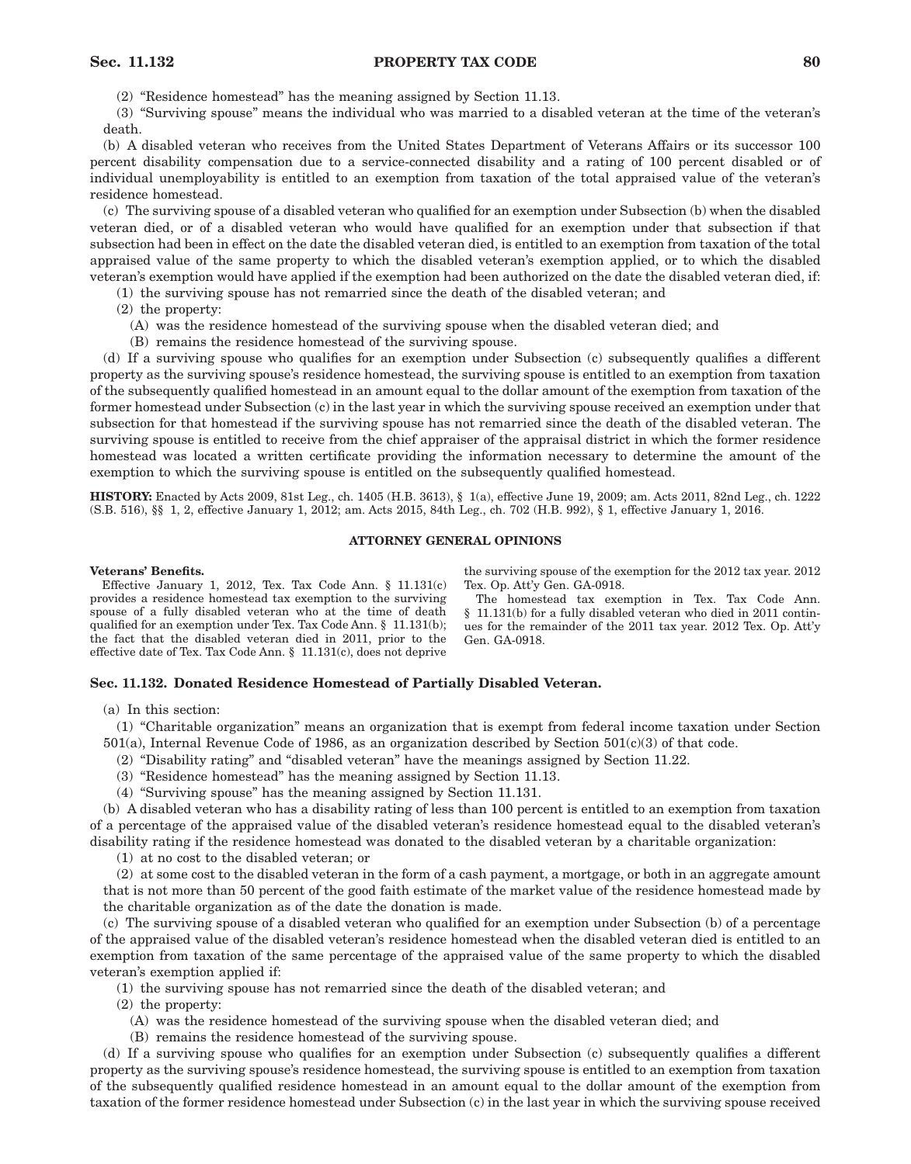# **Sec. 11.132 PROPERTY TAX CODE 80**

(2) "Residence homestead" has the meaning assigned by Section 11.13.

(3) "Surviving spouse" means the individual who was married to a disabled veteran at the time of the veteran's death.

(b) A disabled veteran who receives from the United States Department of Veterans Affairs or its successor 100 percent disability compensation due to a service-connected disability and a rating of 100 percent disabled or of individual unemployability is entitled to an exemption from taxation of the total appraised value of the veteran's residence homestead.

(c) The surviving spouse of a disabled veteran who qualified for an exemption under Subsection (b) when the disabled veteran died, or of a disabled veteran who would have qualified for an exemption under that subsection if that subsection had been in effect on the date the disabled veteran died, is entitled to an exemption from taxation of the total appraised value of the same property to which the disabled veteran's exemption applied, or to which the disabled veteran's exemption would have applied if the exemption had been authorized on the date the disabled veteran died, if:

(1) the surviving spouse has not remarried since the death of the disabled veteran; and

- (2) the property:
	- (A) was the residence homestead of the surviving spouse when the disabled veteran died; and
	- (B) remains the residence homestead of the surviving spouse.

(d) If a surviving spouse who qualifies for an exemption under Subsection (c) subsequently qualifies a different property as the surviving spouse's residence homestead, the surviving spouse is entitled to an exemption from taxation of the subsequently qualified homestead in an amount equal to the dollar amount of the exemption from taxation of the former homestead under Subsection (c) in the last year in which the surviving spouse received an exemption under that subsection for that homestead if the surviving spouse has not remarried since the death of the disabled veteran. The surviving spouse is entitled to receive from the chief appraiser of the appraisal district in which the former residence homestead was located a written certificate providing the information necessary to determine the amount of the exemption to which the surviving spouse is entitled on the subsequently qualified homestead.

**HISTORY:** Enacted by Acts 2009, 81st Leg., ch. 1405 (H.B. 3613), § 1(a), effective June 19, 2009; am. Acts 2011, 82nd Leg., ch. 1222 (S.B. 516), §§ 1, 2, effective January 1, 2012; am. Acts 2015, 84th Leg., ch. 702 (H.B. 992), § 1, effective January 1, 2016.

# **ATTORNEY GENERAL OPINIONS**

### **Veterans' Benefits.**

Effective January 1, 2012, Tex. Tax Code Ann.  $§$  11.131(c) provides a residence homestead tax exemption to the surviving spouse of a fully disabled veteran who at the time of death qualified for an exemption under Tex. Tax Code Ann. § 11.131(b); the fact that the disabled veteran died in 2011, prior to the effective date of Tex. Tax Code Ann. § 11.131(c), does not deprive

the surviving spouse of the exemption for the 2012 tax year. 2012 Tex. Op. Att'y Gen. GA-0918.

The homestead tax exemption in Tex. Tax Code Ann. § 11.131(b) for a fully disabled veteran who died in 2011 continues for the remainder of the 2011 tax year. 2012 Tex. Op. Att'y Gen. GA-0918.

# **Sec. 11.132. Donated Residence Homestead of Partially Disabled Veteran.**

(a) In this section:

(1) "Charitable organization" means an organization that is exempt from federal income taxation under Section 501(a), Internal Revenue Code of 1986, as an organization described by Section 501(c)(3) of that code.

- (2) "Disability rating" and "disabled veteran" have the meanings assigned by Section 11.22.
- (3) "Residence homestead" has the meaning assigned by Section 11.13.
- (4) "Surviving spouse" has the meaning assigned by Section 11.131.

(b) A disabled veteran who has a disability rating of less than 100 percent is entitled to an exemption from taxation of a percentage of the appraised value of the disabled veteran's residence homestead equal to the disabled veteran's disability rating if the residence homestead was donated to the disabled veteran by a charitable organization:

(1) at no cost to the disabled veteran; or

(2) at some cost to the disabled veteran in the form of a cash payment, a mortgage, or both in an aggregate amount that is not more than 50 percent of the good faith estimate of the market value of the residence homestead made by the charitable organization as of the date the donation is made.

(c) The surviving spouse of a disabled veteran who qualified for an exemption under Subsection (b) of a percentage of the appraised value of the disabled veteran's residence homestead when the disabled veteran died is entitled to an exemption from taxation of the same percentage of the appraised value of the same property to which the disabled veteran's exemption applied if:

(1) the surviving spouse has not remarried since the death of the disabled veteran; and

(2) the property:

- (A) was the residence homestead of the surviving spouse when the disabled veteran died; and
- (B) remains the residence homestead of the surviving spouse.

(d) If a surviving spouse who qualifies for an exemption under Subsection (c) subsequently qualifies a different property as the surviving spouse's residence homestead, the surviving spouse is entitled to an exemption from taxation of the subsequently qualified residence homestead in an amount equal to the dollar amount of the exemption from taxation of the former residence homestead under Subsection (c) in the last year in which the surviving spouse received